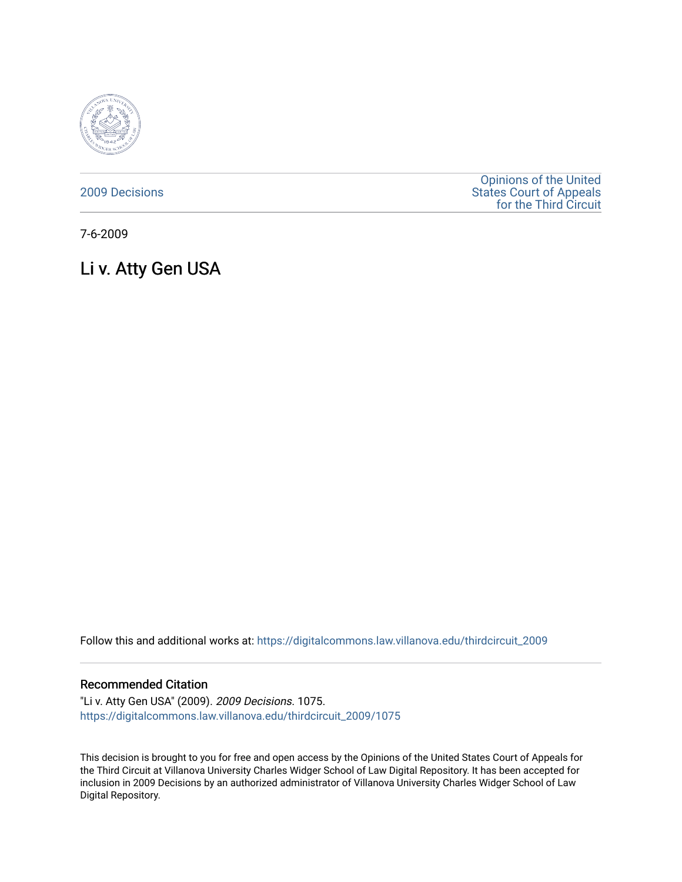

[2009 Decisions](https://digitalcommons.law.villanova.edu/thirdcircuit_2009)

[Opinions of the United](https://digitalcommons.law.villanova.edu/thirdcircuit)  [States Court of Appeals](https://digitalcommons.law.villanova.edu/thirdcircuit)  [for the Third Circuit](https://digitalcommons.law.villanova.edu/thirdcircuit) 

7-6-2009

Li v. Atty Gen USA

Follow this and additional works at: [https://digitalcommons.law.villanova.edu/thirdcircuit\\_2009](https://digitalcommons.law.villanova.edu/thirdcircuit_2009?utm_source=digitalcommons.law.villanova.edu%2Fthirdcircuit_2009%2F1075&utm_medium=PDF&utm_campaign=PDFCoverPages) 

#### Recommended Citation

"Li v. Atty Gen USA" (2009). 2009 Decisions. 1075. [https://digitalcommons.law.villanova.edu/thirdcircuit\\_2009/1075](https://digitalcommons.law.villanova.edu/thirdcircuit_2009/1075?utm_source=digitalcommons.law.villanova.edu%2Fthirdcircuit_2009%2F1075&utm_medium=PDF&utm_campaign=PDFCoverPages) 

This decision is brought to you for free and open access by the Opinions of the United States Court of Appeals for the Third Circuit at Villanova University Charles Widger School of Law Digital Repository. It has been accepted for inclusion in 2009 Decisions by an authorized administrator of Villanova University Charles Widger School of Law Digital Repository.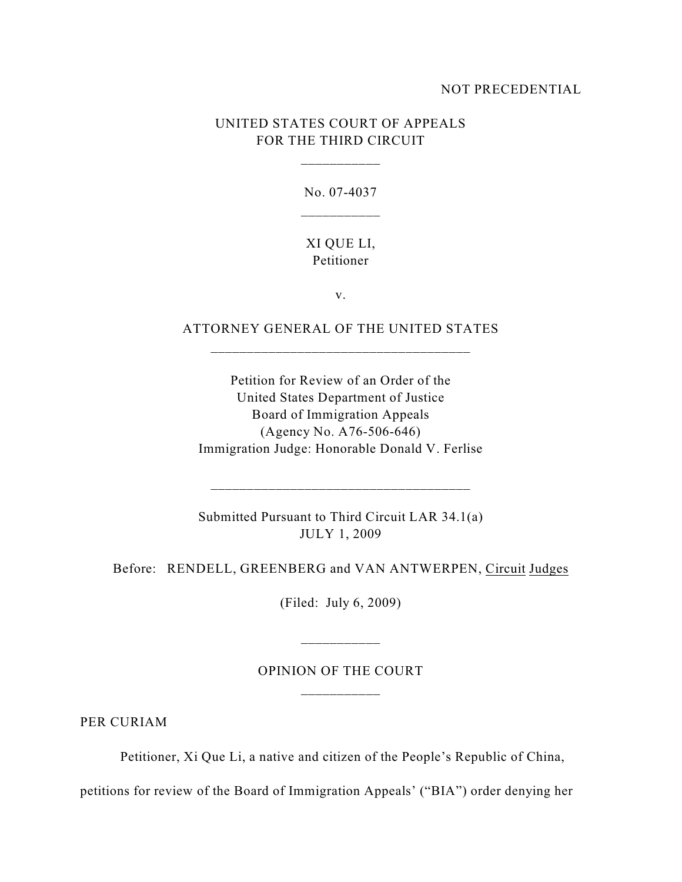### NOT PRECEDENTIAL

# UNITED STATES COURT OF APPEALS FOR THE THIRD CIRCUIT

\_\_\_\_\_\_\_\_\_\_\_

No. 07-4037

### XI QUE LI, Petitioner

v.

## ATTORNEY GENERAL OF THE UNITED STATES

Petition for Review of an Order of the United States Department of Justice Board of Immigration Appeals (Agency No. A76-506-646) Immigration Judge: Honorable Donald V. Ferlise

Submitted Pursuant to Third Circuit LAR 34.1(a) JULY 1, 2009

\_\_\_\_\_\_\_\_\_\_\_\_\_\_\_\_\_\_\_\_\_\_\_\_\_\_\_\_\_\_\_\_\_\_\_\_

Before: RENDELL, GREENBERG and VAN ANTWERPEN, Circuit Judges

(Filed: July 6, 2009)

## OPINION OF THE COURT \_\_\_\_\_\_\_\_\_\_\_

PER CURIAM

Petitioner, Xi Que Li, a native and citizen of the People's Republic of China,

petitions for review of the Board of Immigration Appeals' ("BIA") order denying her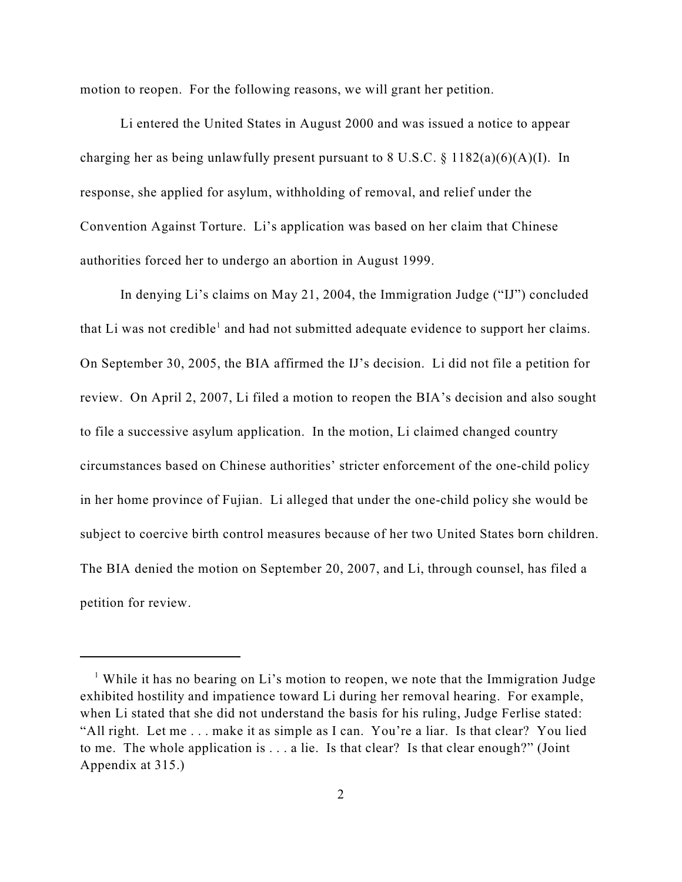motion to reopen. For the following reasons, we will grant her petition.

Li entered the United States in August 2000 and was issued a notice to appear charging her as being unlawfully present pursuant to 8 U.S.C. § 1182(a)(6)(A)(I). In response, she applied for asylum, withholding of removal, and relief under the Convention Against Torture. Li's application was based on her claim that Chinese authorities forced her to undergo an abortion in August 1999.

In denying Li's claims on May 21, 2004, the Immigration Judge ("IJ") concluded that Li was not credible<sup>1</sup> and had not submitted adequate evidence to support her claims. On September 30, 2005, the BIA affirmed the IJ's decision. Li did not file a petition for review. On April 2, 2007, Li filed a motion to reopen the BIA's decision and also sought to file a successive asylum application. In the motion, Li claimed changed country circumstances based on Chinese authorities' stricter enforcement of the one-child policy in her home province of Fujian. Li alleged that under the one-child policy she would be subject to coercive birth control measures because of her two United States born children. The BIA denied the motion on September 20, 2007, and Li, through counsel, has filed a petition for review.

<sup>&</sup>lt;sup>1</sup> While it has no bearing on Li's motion to reopen, we note that the Immigration Judge exhibited hostility and impatience toward Li during her removal hearing. For example, when Li stated that she did not understand the basis for his ruling, Judge Ferlise stated: "All right. Let me . . . make it as simple as I can. You're a liar. Is that clear? You lied to me. The whole application is . . . a lie. Is that clear? Is that clear enough?" (Joint Appendix at 315.)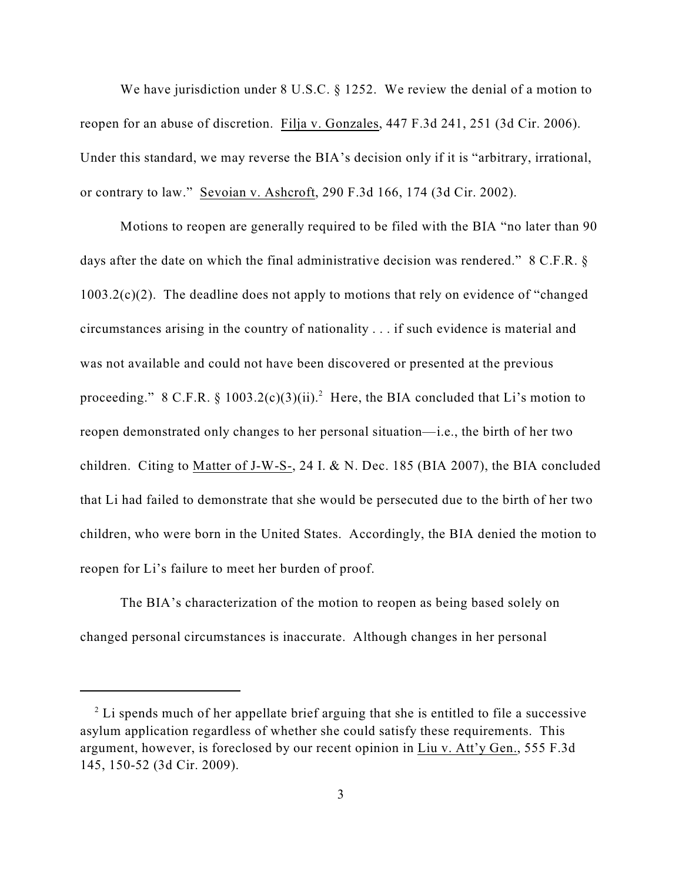We have jurisdiction under 8 U.S.C. § 1252. We review the denial of a motion to reopen for an abuse of discretion. Filja v. Gonzales, 447 F.3d 241, 251 (3d Cir. 2006). Under this standard, we may reverse the BIA's decision only if it is "arbitrary, irrational, or contrary to law." Sevoian v. Ashcroft, 290 F.3d 166, 174 (3d Cir. 2002).

Motions to reopen are generally required to be filed with the BIA "no later than 90 days after the date on which the final administrative decision was rendered." 8 C.F.R. § 1003.2(c)(2). The deadline does not apply to motions that rely on evidence of "changed circumstances arising in the country of nationality . . . if such evidence is material and was not available and could not have been discovered or presented at the previous proceeding." 8 C.F.R. § 1003.2(c)(3)(ii).<sup>2</sup> Here, the BIA concluded that Li's motion to reopen demonstrated only changes to her personal situation—i.e., the birth of her two children. Citing to Matter of J-W-S-, 24 I. & N. Dec. 185 (BIA 2007), the BIA concluded that Li had failed to demonstrate that she would be persecuted due to the birth of her two children, who were born in the United States. Accordingly, the BIA denied the motion to reopen for Li's failure to meet her burden of proof.

The BIA's characterization of the motion to reopen as being based solely on changed personal circumstances is inaccurate. Although changes in her personal

 $2^2$  Li spends much of her appellate brief arguing that she is entitled to file a successive asylum application regardless of whether she could satisfy these requirements. This argument, however, is foreclosed by our recent opinion in Liu v. Att'y Gen., 555 F.3d 145, 150-52 (3d Cir. 2009).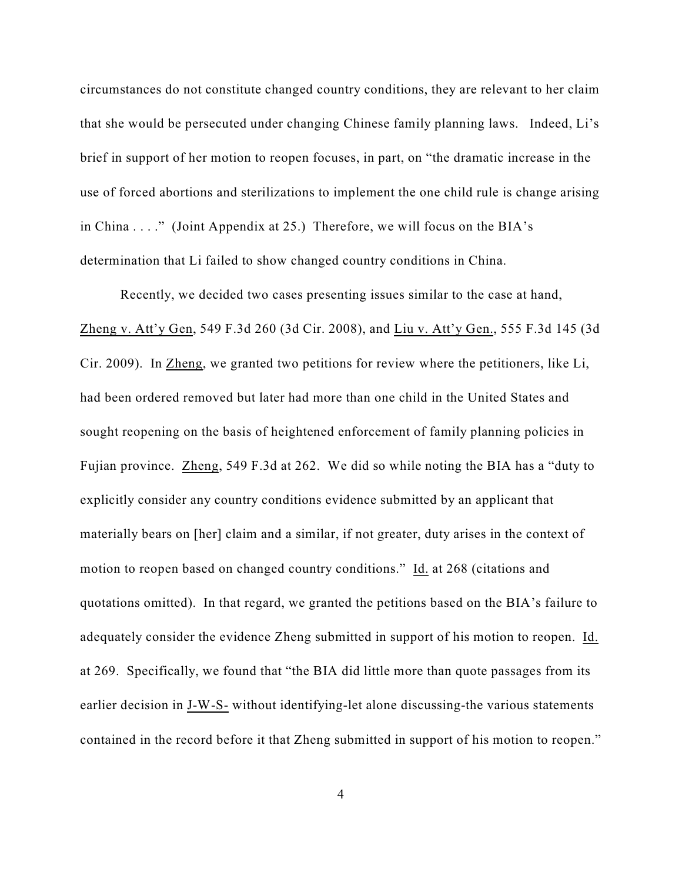circumstances do not constitute changed country conditions, they are relevant to her claim that she would be persecuted under changing Chinese family planning laws. Indeed, Li's brief in support of her motion to reopen focuses, in part, on "the dramatic increase in the use of forced abortions and sterilizations to implement the one child rule is change arising in China . . . ." (Joint Appendix at 25.) Therefore, we will focus on the BIA's determination that Li failed to show changed country conditions in China.

Recently, we decided two cases presenting issues similar to the case at hand, Zheng v. Att'y Gen, 549 F.3d 260 (3d Cir. 2008), and Liu v. Att'y Gen., 555 F.3d 145 (3d Cir. 2009). In Zheng, we granted two petitions for review where the petitioners, like Li, had been ordered removed but later had more than one child in the United States and sought reopening on the basis of heightened enforcement of family planning policies in Fujian province. Zheng, 549 F.3d at 262. We did so while noting the BIA has a "duty to explicitly consider any country conditions evidence submitted by an applicant that materially bears on [her] claim and a similar, if not greater, duty arises in the context of motion to reopen based on changed country conditions." Id. at 268 (citations and quotations omitted). In that regard, we granted the petitions based on the BIA's failure to adequately consider the evidence Zheng submitted in support of his motion to reopen. Id. at 269. Specifically, we found that "the BIA did little more than quote passages from its earlier decision in J-W-S- without identifying-let alone discussing-the various statements contained in the record before it that Zheng submitted in support of his motion to reopen."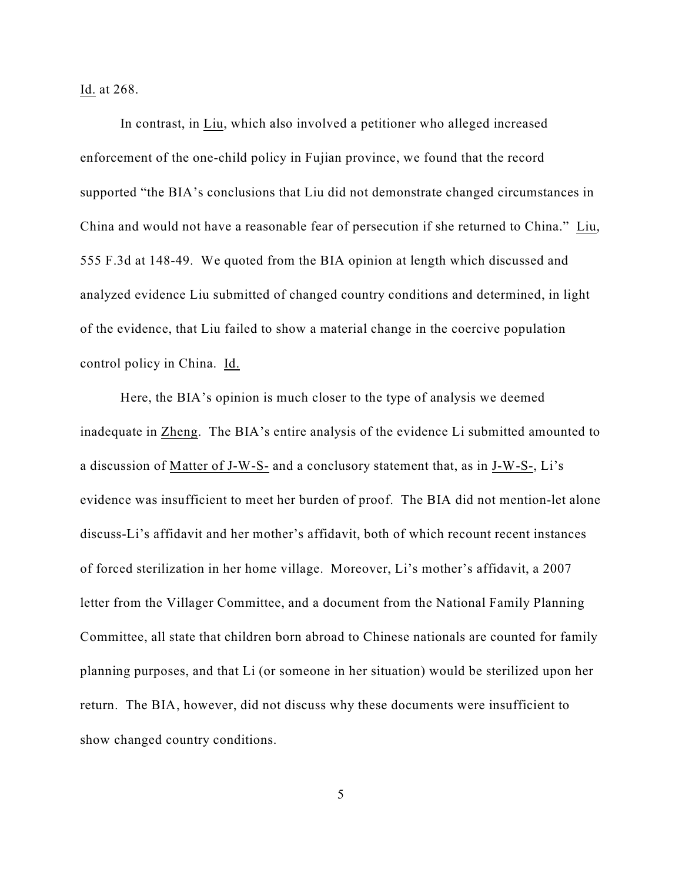Id. at 268.

In contrast, in Liu, which also involved a petitioner who alleged increased enforcement of the one-child policy in Fujian province, we found that the record supported "the BIA's conclusions that Liu did not demonstrate changed circumstances in China and would not have a reasonable fear of persecution if she returned to China." Liu, 555 F.3d at 148-49. We quoted from the BIA opinion at length which discussed and analyzed evidence Liu submitted of changed country conditions and determined, in light of the evidence, that Liu failed to show a material change in the coercive population control policy in China. Id.

Here, the BIA's opinion is much closer to the type of analysis we deemed inadequate in Zheng. The BIA's entire analysis of the evidence Li submitted amounted to a discussion of Matter of J-W-S- and a conclusory statement that, as in J-W-S-, Li's evidence was insufficient to meet her burden of proof. The BIA did not mention-let alone discuss-Li's affidavit and her mother's affidavit, both of which recount recent instances of forced sterilization in her home village. Moreover, Li's mother's affidavit, a 2007 letter from the Villager Committee, and a document from the National Family Planning Committee, all state that children born abroad to Chinese nationals are counted for family planning purposes, and that Li (or someone in her situation) would be sterilized upon her return. The BIA, however, did not discuss why these documents were insufficient to show changed country conditions.

5